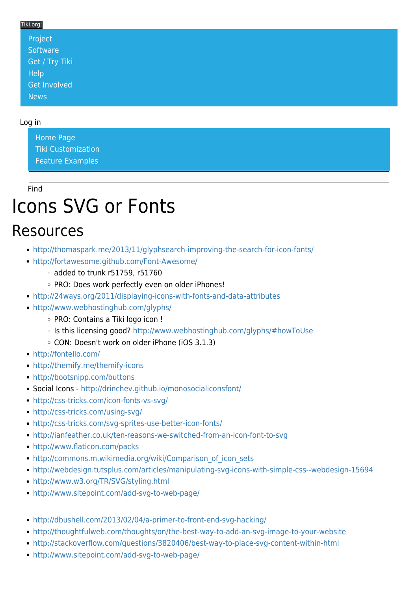#### Tiki.org:

| Project                     |  |  |  |
|-----------------------------|--|--|--|
| Software                    |  |  |  |
| Get / Try Tiki <sup>l</sup> |  |  |  |
| <b>Help</b>                 |  |  |  |
| Get Involved                |  |  |  |
| <b>News</b>                 |  |  |  |

#### Log in

[Home Page](https://themes.tiki.org/Themes) [Tiki Customization](https://themes.tiki.org/Tiki-Customization) [Feature Examples](#page--1-0)

Find

# Icons SVG or Fonts

### Resources

- <http://thomaspark.me/2013/11/glyphsearch-improving-the-search-for-icon-fonts/>
- <http://fortawesome.github.com/Font-Awesome/>
	- added to trunk r51759, r51760
	- o PRO: Does work perfectly even on older iPhones!
- <http://24ways.org/2011/displaying-icons-with-fonts-and-data-attributes>
- <http://www.webhostinghub.com/glyphs/>
	- PRO: Contains a Tiki logo icon !
	- Is this licensing good? <http://www.webhostinghub.com/glyphs/#howToUse>
	- CON: Doesn't work on older iPhone (iOS 3.1.3)
- <http://fontello.com/>
- <http://themify.me/themify-icons>
- <http://bootsnipp.com/buttons>
- Social Icons -<http://drinchev.github.io/monosocialiconsfont/>
- <http://css-tricks.com/icon-fonts-vs-svg/>
- <http://css-tricks.com/using-svg/>
- <http://css-tricks.com/svg-sprites-use-better-icon-fonts/>
- <http://ianfeather.co.uk/ten-reasons-we-switched-from-an-icon-font-to-svg>
- <http://www.flaticon.com/packs>
- http://commons.m.wikimedia.org/wiki/Comparison of icon sets
- <http://webdesign.tutsplus.com/articles/manipulating-svg-icons-with-simple-css--webdesign-15694>
- <http://www.w3.org/TR/SVG/styling.html>
- <http://www.sitepoint.com/add-svg-to-web-page/>
- <http://dbushell.com/2013/02/04/a-primer-to-front-end-svg-hacking/>
- <http://thoughtfulweb.com/thoughts/on/the-best-way-to-add-an-svg-image-to-your-website>
- <http://stackoverflow.com/questions/3820406/best-way-to-place-svg-content-within-html>
- <http://www.sitepoint.com/add-svg-to-web-page/>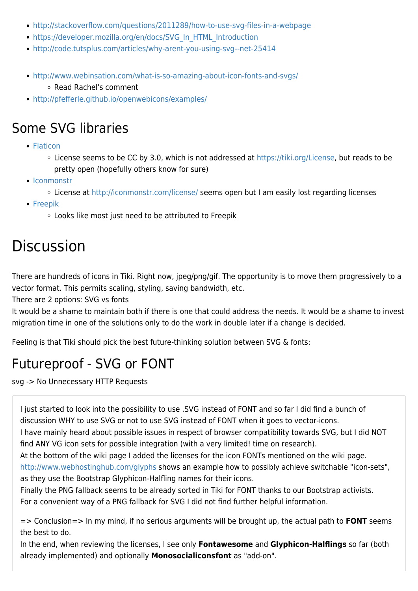- <http://stackoverflow.com/questions/2011289/how-to-use-svg-files-in-a-webpage>
- [https://developer.mozilla.org/en/docs/SVG\\_In\\_HTML\\_Introduction](https://developer.mozilla.org/en/docs/SVG_In_HTML_Introduction)
- <http://code.tutsplus.com/articles/why-arent-you-using-svg--net-25414>
- <http://www.webinsation.com/what-is-so-amazing-about-icon-fonts-and-svgs/> Read Rachel's comment
- <http://pfefferle.github.io/openwebicons/examples/>

### Some SVG libraries

- [Flaticon](http://www.flaticon.com/packs)
	- License seems to be CC by 3.0, which is not addressed at [https://tiki.org/License,](https://tiki.org/License) but reads to be pretty open (hopefully others know for sure)
- [Iconmonstr](http://iconmonstr.com)
	- License at <http://iconmonstr.com/license/> seems open but I am easily lost regarding licenses
- [Freepik](http://www.freepik.com/free-icons)
	- Looks like most just need to be attributed to Freepik

## **Discussion**

There are hundreds of icons in Tiki. Right now, jpeg/png/gif. The opportunity is to move them progressively to a vector format. This permits scaling, styling, saving bandwidth, etc.

There are 2 options: SVG vs fonts

It would be a shame to maintain both if there is one that could address the needs. It would be a shame to invest migration time in one of the solutions only to do the work in double later if a change is decided.

Feeling is that Tiki should pick the best future-thinking solution between SVG & fonts:

## Futureproof - SVG or FONT

svg -> No Unnecessary HTTP Requests

I just started to look into the possibility to use .SVG instead of FONT and so far I did find a bunch of discussion WHY to use SVG or not to use SVG instead of FONT when it goes to vector-icons.

I have mainly heard about possible issues in respect of browser compatibility towards SVG, but I did NOT find ANY VG icon sets for possible integration (with a very limited! time on research).

At the bottom of the wiki page I added the licenses for the icon FONTs mentioned on the wiki page.

<http://www.webhostinghub.com/glyphs>shows an example how to possibly achieve switchable "icon-sets", as they use the Bootstrap Glyphicon-Halfling names for their icons.

Finally the PNG fallback seems to be already sorted in Tiki for FONT thanks to our Bootstrap activists. For a convenient way of a PNG fallback for SVG I did not find further helpful information.

=> Conclusion=> In my mind, if no serious arguments will be brought up, the actual path to **FONT** seems the best to do.

In the end, when reviewing the licenses, I see only **Fontawesome** and **Glyphicon-Halflings** so far (both already implemented) and optionally **Monosocialiconsfont** as "add-on".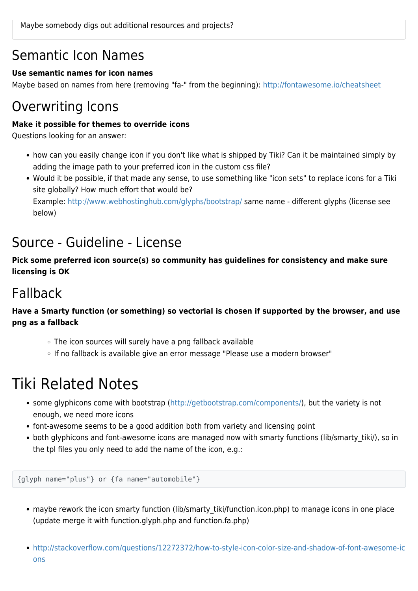### Semantic Icon Names

#### **Use semantic names for icon names**

Maybe based on names from here (removing "fa-" from the beginning): <http://fontawesome.io/cheatsheet>

### Overwriting Icons

#### **Make it possible for themes to override icons**

Questions looking for an answer:

- how can you easily change icon if you don't like what is shipped by Tiki? Can it be maintained simply by adding the image path to your preferred icon in the custom css file?
- Would it be possible, if that made any sense, to use something like "icon sets" to replace icons for a Tiki site globally? How much effort that would be?

Example:<http://www.webhostinghub.com/glyphs/bootstrap/>same name - different glyphs (license see below)

### Source - Guideline - License

**Pick some preferred icon source(s) so community has guidelines for consistency and make sure licensing is OK**

### Fallback

**Have a Smarty function (or something) so vectorial is chosen if supported by the browser, and use png as a fallback**

- The icon sources will surely have a png fallback available
- o If no fallback is available give an error message "Please use a modern browser"

## Tiki Related Notes

- some glyphicons come with bootstrap (<http://getbootstrap.com/components/>), but the variety is not enough, we need more icons
- font-awesome seems to be a good addition both from variety and licensing point
- both glyphicons and font-awesome icons are managed now with smarty functions (lib/smarty tiki/), so in the tpl files you only need to add the name of the icon, e.g.:

{glyph name="plus"} or {fa name="automobile"}

- maybe rework the icon smarty function (lib/smarty\_tiki/function.icon.php) to manage icons in one place (update merge it with function.glyph.php and function.fa.php)
- [http://stackoverflow.com/questions/12272372/how-to-style-icon-color-size-and-shadow-of-font-awesome-ic](http://stackoverflow.com/questions/12272372/how-to-style-icon-color-size-and-shadow-of-font-awesome-icons) [ons](http://stackoverflow.com/questions/12272372/how-to-style-icon-color-size-and-shadow-of-font-awesome-icons)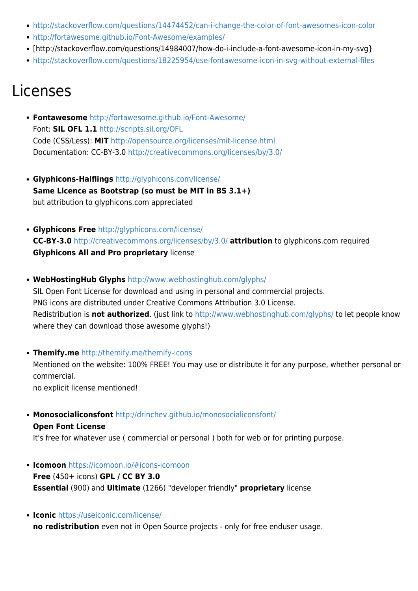- <http://stackoverflow.com/questions/14474452/can-i-change-the-color-of-font-awesomes-icon-color>
- <http://fortawesome.github.io/Font-Awesome/examples/>
- [http://stackoverflow.com/questions/14984007/how-do-i-include-a-font-awesome-icon-in-my-svg}
- <http://stackoverflow.com/questions/18225954/use-fontawesome-icon-in-svg-without-external-files>

## Licenses

- **Fontawesome** <http://fortawesome.github.io/Font-Awesome/> Font: **SIL OFL 1.1** <http://scripts.sil.org/OFL> Code (CSS/Less): **MIT** <http://opensource.org/licenses/mit-license.html> Documentation: CC-BY-3.0 <http://creativecommons.org/licenses/by/3.0/>
- **Glyphicons-Halflings** <http://glyphicons.com/license/> **Same Licence as Bootstrap (so must be MIT in BS 3.1+)** but attribution to glyphicons.com appreciated
- **Glyphicons Free** <http://glyphicons.com/license/> **CC-BY-3.0** <http://creativecommons.org/licenses/by/3.0/> **attribution** to glyphicons.com required **Glyphicons All and Pro proprietary** license
- **WebHostingHub Glyphs** <http://www.webhostinghub.com/glyphs/> SIL Open Font License for download and using in personal and commercial projects. PNG icons are distributed under Creative Commons Attribution 3.0 License. Redistribution is **not authorized**. (just link to <http://www.webhostinghub.com/glyphs/> to let people know where they can download those awesome glyphs!)
- **Themify.me** <http://themify.me/themify-icons>

Mentioned on the website: 100% FREE! You may use or distribute it for any purpose, whether personal or commercial.

no explicit license mentioned!

**Monosocialiconsfont** <http://drinchev.github.io/monosocialiconsfont/>

#### **Open Font License**

It's free for whatever use ( commercial or personal ) both for web or for printing purpose.

- **Icomoon** <https://icomoon.io/#icons-icomoon> **Free** (450+ icons) **GPL / CC BY 3.0 Essential** (900) and **Ultimate** (1266) "developer friendly" **proprietary** license
- **Iconic** <https://useiconic.com/license/>

**no redistribution** even not in Open Source projects - only for free enduser usage.